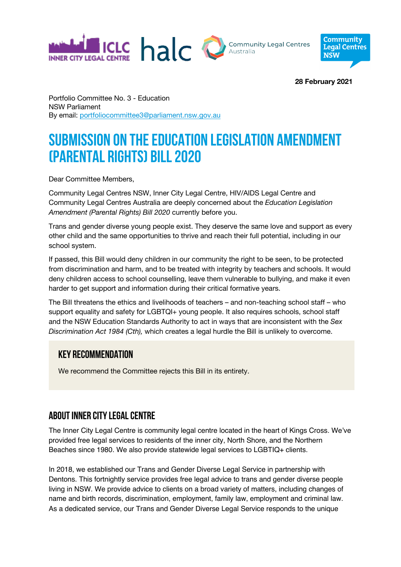



**28 February 2021**

Portfolio Committee No. 3 - Education NSW Parliament By email: portfoliocommittee3@parliament.nsw.gov.au

# **Submission on the Education Legislation Amendment (Parental Rights) Bill 2020**

Dear Committee Members,

Community Legal Centres NSW, Inner City Legal Centre, HIV/AIDS Legal Centre and Community Legal Centres Australia are deeply concerned about the *Education Legislation Amendment (Parental Rights) Bill 2020* currently before you.

Trans and gender diverse young people exist. They deserve the same love and support as every other child and the same opportunities to thrive and reach their full potential, including in our school system.

If passed, this Bill would deny children in our community the right to be seen, to be protected from discrimination and harm, and to be treated with integrity by teachers and schools. It would deny children access to school counselling, leave them vulnerable to bullying, and make it even harder to get support and information during their critical formative years.

The Bill threatens the ethics and livelihoods of teachers – and non-teaching school staff – who support equality and safety for LGBTQI+ young people. It also requires schools, school staff and the NSW Education Standards Authority to act in ways that are inconsistent with the *Sex Discrimination Act 1984 (Cth),* which creates a legal hurdle the Bill is unlikely to overcome.

## **Key recommendation**

We recommend the Committee rejects this Bill in its entirety.

## **About Inner City Legal Centre**

The Inner City Legal Centre is community legal centre located in the heart of Kings Cross. We've provided free legal services to residents of the inner city, North Shore, and the Northern Beaches since 1980. We also provide statewide legal services to LGBTIQ+ clients.

In 2018, we established our Trans and Gender Diverse Legal Service in partnership with Dentons. This fortnightly service provides free legal advice to trans and gender diverse people living in NSW. We provide advice to clients on a broad variety of matters, including changes of name and birth records, discrimination, employment, family law, employment and criminal law. As a dedicated service, our Trans and Gender Diverse Legal Service responds to the unique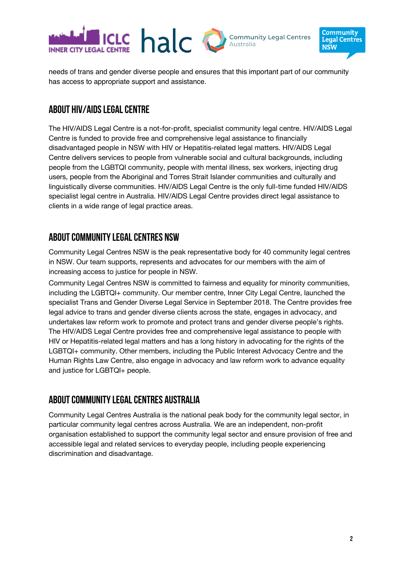

needs of trans and gender diverse people and ensures that this important part of our community has access to appropriate support and assistance.

## **About HIV/AIDs Legal CENTRE**

The HIV/AIDS Legal Centre is a not-for-profit, specialist community legal centre. HIV/AIDS Legal Centre is funded to provide free and comprehensive legal assistance to financially disadvantaged people in NSW with HIV or Hepatitis-related legal matters. HIV/AIDS Legal Centre delivers services to people from vulnerable social and cultural backgrounds, including people from the LGBTQI community, people with mental illness, sex workers, injecting drug users, people from the Aboriginal and Torres Strait Islander communities and culturally and linguistically diverse communities. HIV/AIDS Legal Centre is the only full-time funded HIV/AIDS specialist legal centre in Australia. HIV/AIDS Legal Centre provides direct legal assistance to clients in a wide range of legal practice areas.

## **About Community Legal Centres NSW**

Community Legal Centres NSW is the peak representative body for 40 community legal centres in NSW. Our team supports, represents and advocates for our members with the aim of increasing access to justice for people in NSW.

Community Legal Centres NSW is committed to fairness and equality for minority communities, including the LGBTQI+ community. Our member centre, Inner City Legal Centre, launched the specialist Trans and Gender Diverse Legal Service in September 2018. The Centre provides free legal advice to trans and gender diverse clients across the state, engages in advocacy, and undertakes law reform work to promote and protect trans and gender diverse people's rights. The HIV/AIDS Legal Centre provides free and comprehensive legal assistance to people with HIV or Hepatitis-related legal matters and has a long history in advocating for the rights of the LGBTQI+ community. Other members, including the Public Interest Advocacy Centre and the Human Rights Law Centre, also engage in advocacy and law reform work to advance equality and justice for LGBTQI+ people.

## **About Community Legal Centres Australia**

Community Legal Centres Australia is the national peak body for the community legal sector, in particular community legal centres across Australia. We are an independent, non-profit organisation established to support the community legal sector and ensure provision of free and accessible legal and related services to everyday people, including people experiencing discrimination and disadvantage.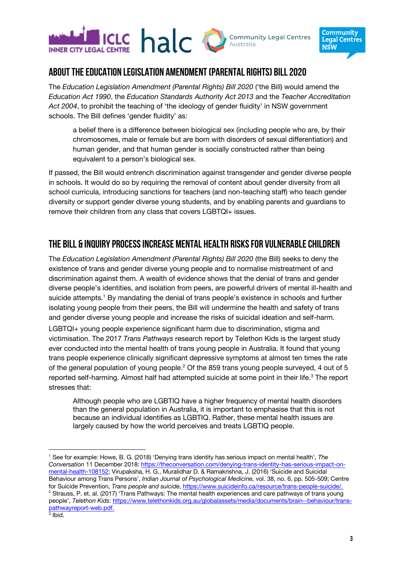



## **About the education Legislation Amendment (Parental Rights) Bill 2020**

The *Education Legislation Amendment (Parental Rights) Bill 2020* ('the Bill) would amend the *Education Act 1990*, the *Education Standards Authority Act 2013* and the *Teacher Accreditation Act 2004*, to prohibit the teaching of 'the ideology of gender fluidity' in NSW government schools. The Bill defines 'gender fluidity' as:

a belief there is a difference between biological sex (including people who are, by their chromosomes, male or female but are born with disorders of sexual differentiation) and human gender, and that human gender is socially constructed rather than being equivalent to a person's biological sex.

If passed, the Bill would entrench discrimination against transgender and gender diverse people in schools. It would do so by requiring the removal of content about gender diversity from all school curricula, introducing sanctions for teachers (and non-teaching staff) who teach gender diversity or support gender diverse young students, and by enabling parents and guardians to remove their children from any class that covers LGBTQI+ issues.

# **The bill & inquiryprocess increase mental health risksfor vulnerable children**

The *Education Legislation Amendment (Parental Rights) Bill 2020* (the Bill) seeks to deny the existence of trans and gender diverse young people and to normalise mistreatment of and discrimination against them. A wealth of evidence shows that the denial of trans and gender diverse people's identities, and isolation from peers, are powerful drivers of mental ill-health and suicide attempts.<sup>1</sup> By mandating the denial of trans people's existence in schools and further isolating young people from their peers, the Bill will undermine the health and safety of trans and gender diverse young people and increase the risks of suicidal ideation and self-harm. LGBTQI+ young people experience significant harm due to discrimination, stigma and victimisation. The 2017 *Trans Pathways* research report by Telethon Kids is the largest study ever conducted into the mental health of trans young people in Australia. It found that young trans people experience clinically significant depressive symptoms at almost ten times the rate of the general population of young people.<sup>2</sup> Of the 859 trans young people surveyed, 4 out of 5 reported self-harming. Almost half had attempted suicide at some point in their life.<sup>3</sup> The report stresses that:

Although people who are LGBTIQ have a higher frequency of mental health disorders than the general population in Australia, it is important to emphasise that this is not because an individual identifies as LGBTIQ. Rather, these mental health issues are largely caused by how the world perceives and treats LGBTIQ people.

<sup>1</sup> See for example: Howe, B. G. (2018) 'Denying trans identity has serious impact on mental health', *The Conversation* 11 December 2018: https://theconversation.com/denying-trans-identity-has-serious-impact-onmental-health-108152; Virupaksha, H. G., Muralidhar D. & Ramakrishna, J. (2016) 'Suicide and Suicidal Behaviour among Trans Persons', *Indian Journal of Psychological Medicine,* vol. 38, no. 6, pp. 505-509; Centre for Suicide Prevention, *Trans people and suicide*, https://www.suicideinfo.ca/resource/trans-people-suicide/. <sup>2</sup> Strauss, P. et. al. (2017) 'Trans Pathways: The mental health experiences and care pathways of trans young people', *Telethon Kids*: https://www.telethonkids.org.au/globalassets/media/documents/brain--behaviour/transpathwayreport-web.pdf.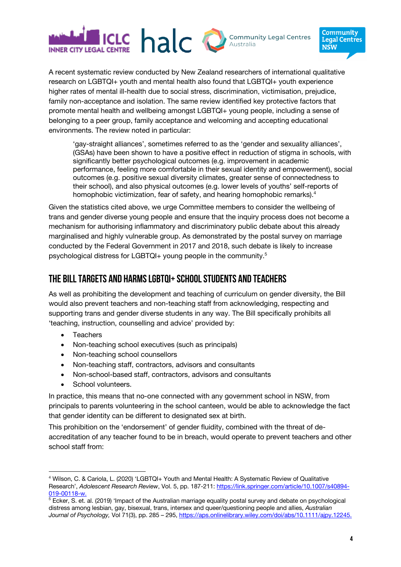



A recent systematic review conducted by New Zealand researchers of international qualitative research on LGBTQI+ youth and mental health also found that LGBTQI+ youth experience higher rates of mental ill-health due to social stress, discrimination, victimisation, prejudice, family non-acceptance and isolation. The same review identified key protective factors that promote mental health and wellbeing amongst LGBTQI+ young people, including a sense of belonging to a peer group, family acceptance and welcoming and accepting educational environments. The review noted in particular:

'gay-straight alliances', sometimes referred to as the 'gender and sexuality alliances', (GSAs) have been shown to have a positive effect in reduction of stigma in schools, with significantly better psychological outcomes (e.g. improvement in academic performance, feeling more comfortable in their sexual identity and empowerment), social outcomes (e.g. positive sexual diversity climates, greater sense of connectedness to their school), and also physical outcomes (e.g. lower levels of youths' self-reports of homophobic victimization, fear of safety, and hearing homophobic remarks). 4

Given the statistics cited above, we urge Committee members to consider the wellbeing of trans and gender diverse young people and ensure that the inquiry process does not become a mechanism for authorising inflammatory and discriminatory public debate about this already marginalised and highly vulnerable group. As demonstrated by the postal survey on marriage conducted by the Federal Government in 2017 and 2018, such debate is likely to increase psychological distress for LGBTQI+ young people in the community.5

## **The bill targets and harms LGBTQI+ school students and teachers**

As well as prohibiting the development and teaching of curriculum on gender diversity, the Bill would also prevent teachers and non-teaching staff from acknowledging, respecting and supporting trans and gender diverse students in any way. The Bill specifically prohibits all 'teaching, instruction, counselling and advice' provided by:

- Teachers
- Non-teaching school executives (such as principals)
- Non-teaching school counsellors
- Non-teaching staff, contractors, advisors and consultants
- Non-school-based staff, contractors, advisors and consultants
- School volunteers.

In practice, this means that no-one connected with any government school in NSW, from principals to parents volunteering in the school canteen, would be able to acknowledge the fact that gender identity can be different to designated sex at birth.

This prohibition on the 'endorsement' of gender fluidity, combined with the threat of deaccreditation of any teacher found to be in breach, would operate to prevent teachers and other school staff from:

<sup>4</sup> Wilson, C. & Cariola, L. (2020) 'LGBTQI+ Youth and Mental Health: A Systematic Review of Qualitative Research', *Adolescent Research Review*, Vol. 5, pp. 187-211: https://link.springer.com/article/10.1007/s40894- 019-00118-w.

 $5$  Ecker, S. et. al. (2019) 'Impact of the Australian marriage equality postal survey and debate on psychological distress among lesbian, gay, bisexual, trans, intersex and queer/questioning people and allies, *Australian Journal of Psychology,* Vol 71(3), pp. 285 – 295, https://aps.onlinelibrary.wiley.com/doi/abs/10.1111/ajpy.12245.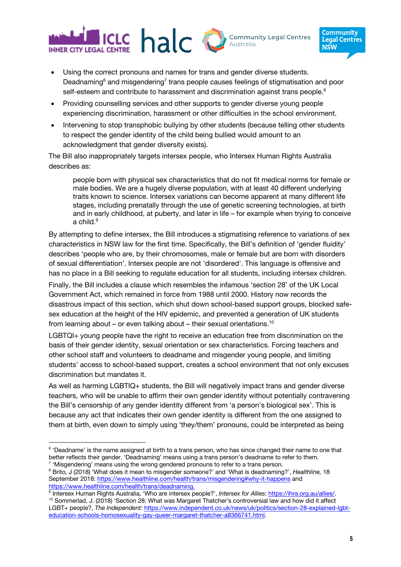

- Community **Legal Centres NSW**
- Using the correct pronouns and names for trans and gender diverse students. Deadnaming $6$  and misgendering<sup>7</sup> trans people causes feelings of stigmatisation and poor self-esteem and contribute to harassment and discrimination against trans people.<sup>8</sup>
- Providing counselling services and other supports to gender diverse young people experiencing discrimination, harassment or other difficulties in the school environment.
- Intervening to stop transphobic bullying by other students (because telling other students to respect the gender identity of the child being bullied would amount to an acknowledgment that gender diversity exists).

The Bill also inappropriately targets intersex people, who Intersex Human Rights Australia describes as:

people born with physical sex characteristics that do not fit medical norms for female or male bodies. We are a hugely diverse population, with at least 40 different underlying traits known to science. Intersex variations can become apparent at many different life stages, including prenatally through the use of genetic screening technologies, at birth and in early childhood, at puberty, and later in life – for example when trying to conceive a child.<sup>9</sup>

By attempting to define intersex, the Bill introduces a stigmatising reference to variations of sex characteristics in NSW law for the first time. Specifically, the Bill's definition of 'gender fluidity' describes 'people who are, by their chromosomes, male or female but are born with disorders of sexual differentiation'. Intersex people are not 'disordered'. This language is offensive and has no place in a Bill seeking to regulate education for all students, including intersex children.

Finally, the Bill includes a clause which resembles the infamous 'section 28' of the UK Local Government Act, which remained in force from 1988 until 2000. History now records the disastrous impact of this section, which shut down school-based support groups, blocked safesex education at the height of the HIV epidemic, and prevented a generation of UK students from learning about – or even talking about – their sexual orientations.<sup>10</sup>

LGBTQI+ young people have the right to receive an education free from discrimination on the basis of their gender identity, sexual orientation or sex characteristics. Forcing teachers and other school staff and volunteers to deadname and misgender young people, and limiting students' access to school-based support, creates a school environment that not only excuses discrimination but mandates it.

As well as harming LGBTIQ+ students, the Bill will negatively impact trans and gender diverse teachers, who will be unable to affirm their own gender identity without potentially contravening the Bill's censorship of any gender identity different from 'a person's biological sex'. This is because any act that indicates their own gender identity is different from the one assigned to them at birth, even down to simply using 'they/them' pronouns, could be interpreted as being

<sup>&</sup>lt;sup>6</sup> 'Deadname' is the name assigned at birth to a trans person, who has since changed their name to one that better reflects their gender. 'Deadnaming' means using a trans person's deadname to refer to them.  $7$  'Misgendering' means using the wrong gendered pronouns to refer to a trans person.

<sup>8</sup> Brito, J (2018) 'What does it mean to misgender someone?' and 'What is deadnaming?', *Healthline,* 18 September 2018: https://www.healthline.com/health/trans/misgendering#why-it-happens and https://www.healthline.com/health/trans/deadnaming.

<sup>9</sup> Intersex Human Rights Australia, 'Who are intersex people?', *Intersex for Allies*: https://ihra.org.au/allies/.

<sup>&</sup>lt;sup>10</sup> Sommerlad, J. (2018) 'Section 28: What was Margaret Thatcher's controversial law and how did it affect LGBT+ people?, *The Independent*: https://www.independent.co.uk/news/uk/politics/section-28-explained-lgbteducation-schools-homosexuality-gay-queer-margaret-thatcher-a8366741.html.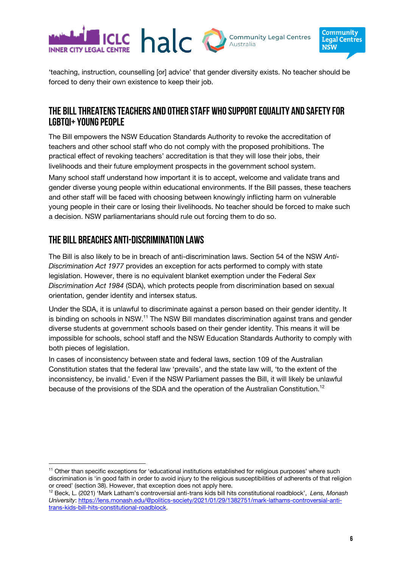



'teaching, instruction, counselling [or] advice' that gender diversity exists. No teacher should be forced to deny their own existence to keep their job.

## **The bill threatens teachers and other staff who support equality and safety for LGBTQI+ young people**

The Bill empowers the NSW Education Standards Authority to revoke the accreditation of teachers and other school staff who do not comply with the proposed prohibitions. The practical effect of revoking teachers' accreditation is that they will lose their jobs, their livelihoods and their future employment prospects in the government school system.

Many school staff understand how important it is to accept, welcome and validate trans and gender diverse young people within educational environments. If the Bill passes, these teachers and other staff will be faced with choosing between knowingly inflicting harm on vulnerable young people in their care or losing their livelihoods. No teacher should be forced to make such a decision. NSW parliamentarians should rule out forcing them to do so.

# **The bill breaches anti-discrimination laws**

The Bill is also likely to be in breach of anti-discrimination laws. Section 54 of the NSW *Anti-Discrimination Act 1977* provides an exception for acts performed to comply with state legislation. However, there is no equivalent blanket exemption under the Federal *Sex Discrimination Act 1984* (SDA), which protects people from discrimination based on sexual orientation, gender identity and intersex status.

Under the SDA, it is unlawful to discriminate against a person based on their gender identity. It is binding on schools in NSW.<sup>11</sup> The NSW Bill mandates discrimination against trans and gender diverse students at government schools based on their gender identity. This means it will be impossible for schools, school staff and the NSW Education Standards Authority to comply with both pieces of legislation.

In cases of inconsistency between state and federal laws, section 109 of the Australian Constitution states that the federal law 'prevails', and the state law will, 'to the extent of the inconsistency, be invalid.' Even if the NSW Parliament passes the Bill, it will likely be unlawful because of the provisions of the SDA and the operation of the Australian Constitution.12

<sup>&</sup>lt;sup>11</sup> Other than specific exceptions for 'educational institutions established for religious purposes' where such discrimination is 'in good faith in order to avoid injury to the religious susceptibilities of adherents of that religion or creed' (section 38). However, that exception does not apply here.

<sup>12</sup> Beck, L. (2021) 'Mark Latham's controversial anti-trans kids bill hits constitutional roadblock', *Lens, Monash University*: https://lens.monash.edu/@politics-society/2021/01/29/1382751/mark-lathams-controversial-antitrans-kids-bill-hits-constitutional-roadblock.